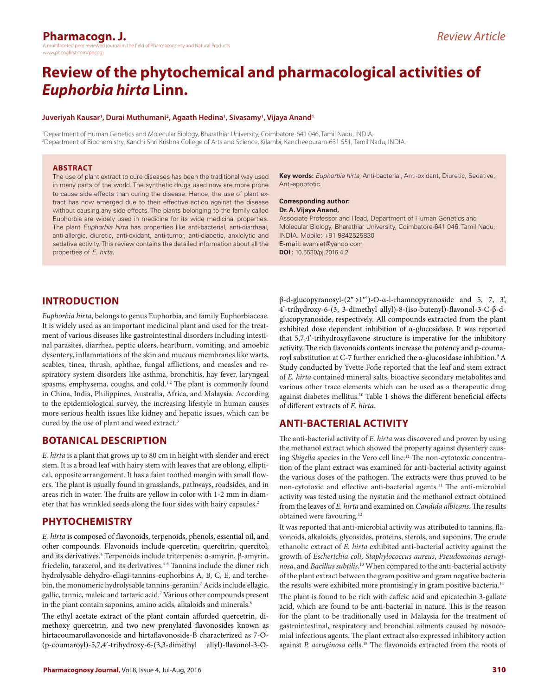#### **Pharmacogn. J.** the field of Pharmacognosy and Natural Products www.phcogfirst.com/phcogi

*Review Article*

# **Review of the phytochemical and pharmacological activities of**  *Euphorbia hirta* **Linn.**

#### **Juveriyah Kausar1 , Durai Muthumani2 , Agaath Hedina1 , Sivasamy1 , Vijaya Anand1**

1 Department of Human Genetics and Molecular Biology, Bharathiar University, Coimbatore-641 046, Tamil Nadu, INDIA. 2 Department of Biochemistry, Kanchi Shri Krishna College of Arts and Science, Kilambi, Kancheepuram-631 551, Tamil Nadu, INDIA.

#### **ABSTRACT**

The use of plant extract to cure diseases has been the traditional way used in many parts of the world. The synthetic drugs used now are more prone to cause side effects than curing the disease. Hence, the use of plant extract has now emerged due to their effective action against the disease without causing any side effects. The plants belonging to the family called Euphorbia are widely used in medicine for its wide medicinal properties. The plant *Euphorbia hirta* has properties like anti-bacterial, anti-diarrheal, anti-allergic, diuretic, anti-oxidant, anti-tumor, anti-diabetic, anxiolytic and sedative activity. This review contains the detailed information about all the properties of *E. hirta*.

**Key words:** *Euphorbia hirta*, Anti-bacterial, Anti-oxidant, Diuretic, Sedative, Anti-apoptotic.

#### **Corresponding author: Dr. A. Vijaya Anand,**

Associate Professor and Head, Department of Human Genetics and Molecular Biology, Bharathiar University, Coimbatore-641 046, Tamil Nadu, INDIA. Mobile: +91 9842525830 E-mail: avamiet@yahoo.com **DOI :** 10.5530/pj.2016.4.2

# **INTRODUCTION**

*Euphorbia hirta*, belongs to genus Euphorbia, and family Euphorbiaceae. It is widely used as an important medicinal plant and used for the treatment of various diseases like gastrointestinal disorders including intestinal parasites, diarrhea, peptic ulcers, heartburn, vomiting, and amoebic dysentery, inflammations of the skin and mucous membranes like warts, scabies, tinea, thrush, aphthae, fungal afflictions, and measles and respiratory system disorders like asthma, bronchitis, hay fever, laryngeal spasms, emphysema, coughs, and cold.<sup>1,2</sup> The plant is commonly found in China, India, Philippines, Australia, Africa, and Malaysia. According to the epidemiological survey, the increasing lifestyle in human causes more serious health issues like kidney and hepatic issues, which can be cured by the use of plant and weed extract.<sup>3</sup>

#### **BOTANICAL DESCRIPTION**

*E. hirta* is a plant that grows up to 80 cm in height with slender and erect stem. It is a broad leaf with hairy stem with leaves that are oblong, elliptical, opposite arrangement. It has a faint toothed margin with small flowers. The plant is usually found in grasslands, pathways, roadsides, and in areas rich in water. The fruits are yellow in color with 1-2 mm in diameter that has wrinkled seeds along the four sides with hairy capsules.<sup>2</sup>

#### **PHYTOCHEMISTRY**

*E. hirta* is composed of flavonoids, terpenoids, phenols, essential oil, and other compounds. Flavonoids include quercetin, quercitrin, quercitol, and its derivatives.4 Terpenoids include triterpenes: α-amyrin, β-amyrin, friedelin, taraxerol, and its derivatives.<sup>4-6</sup> Tannins include the dimer rich hydrolysable dehydro-ellagi-tannins-euphorbins A, B, C, E, and terchebin, the monomeric hydrolysable tannins-geraniin.<sup>7</sup> Acids include ellagic, gallic, tannic, maleic and tartaric acid.7 Various other compounds present in the plant contain saponins, amino acids, alkaloids and minerals.<sup>8</sup>

The ethyl acetate extract of the plant contain afforded quercetrin, dimethoxy quercetrin, and two new prenylated flavonosides known as hirtacoumaroflavonoside and hirtaflavonoside-B characterized as 7-O- (p-coumaroyl)-5,7,4'-trihydroxy-6-(3,3-dimethyl allyl)-flavonol-3-O-

β-d-glucopyranosyl-(2″→1″')-O-α-l-rhamnopyranoside and 5, 7, 3', 4'-trihydroxy-6-(3, 3-dimethyl allyl)-8-(iso-butenyl)-flavonol-3-C-β-dglucopyranoside, respectively. All compounds extracted from the plant exhibited dose dependent inhibition of α-glucosidase. It was reported that 5,7,4'-trihydroxyflavone structure is imperative for the inhibitory activity. The rich flavonoids contents increase the potency and p-coumaroyl substitution at C-7 further enriched the α-glucosidase inhibition.<sup>9</sup> A Study conducted by Yvette Fofie reported that the leaf and stem extract of *E. hirta* contained mineral salts, bioactive secondary metabolites and various other trace elements which can be used as a therapeutic drug against diabetes mellitus.10 Table 1 shows the different beneficial effects of different extracts of *E. hirta*.

# **ANTI-BACTERIAL ACTIVITY**

The anti-bacterial activity of *E. hirta* was discovered and proven by using the methanol extract which showed the property against dysentery causing *Shigella* species in the Vero cell line.<sup>11</sup> The non-cytotoxic concentration of the plant extract was examined for anti-bacterial activity against the various doses of the pathogen. The extracts were thus proved to be non-cytotoxic and effective anti-bacterial agents.11 The anti-microbial activity was tested using the nystatin and the methanol extract obtained from the leaves of *E. hirta* and examined on *Candida albicans*. The results obtained were favouring.12

It was reported that anti-microbial activity was attributed to tannins, flavonoids, alkaloids, glycosides, proteins, sterols, and saponins. The crude ethanolic extract of *E. hirta* exhibited anti-bacterial activity against the growth of *Escherichia coli*, *Staphylococcus aureus*, *Pseudomonas aeruginosa*, and *Bacillus subtilis.*13 When compared to the anti-bacterial activity of the plant extract between the gram positive and gram negative bacteria the results were exhibited more promisingly in gram positive bacteria.<sup>14</sup>

The plant is found to be rich with caffeic acid and epicatechin 3-gallate acid, which are found to be anti-bacterial in nature. This is the reason for the plant to be traditionally used in Malaysia for the treatment of gastrointestinal, respiratory and bronchial ailments caused by nosocomial infectious agents. The plant extract also expressed inhibitory action against *P. aeruginosa* cells.15 The flavonoids extracted from the roots of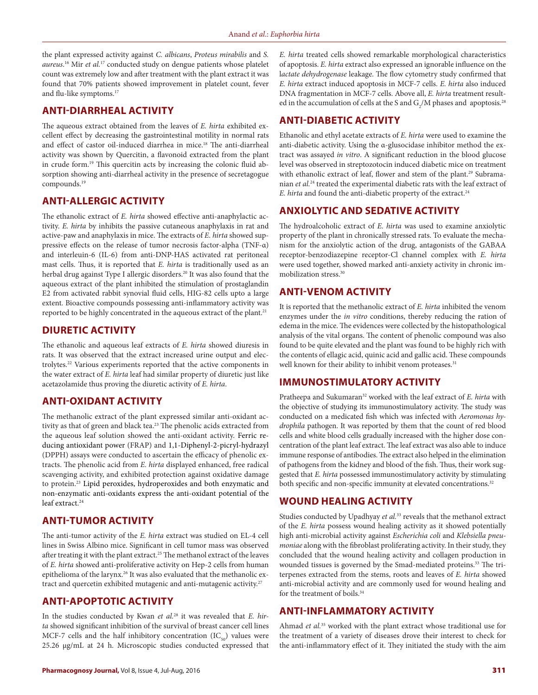the plant expressed activity against *C. albicans*, *Proteus mirabilis* and *S. aureus*. 16 Mir *et al.*17 conducted study on dengue patients whose platelet count was extremely low and after treatment with the plant extract it was found that 70% patients showed improvement in platelet count, fever and flu-like symptoms.17

#### **ANTI-DIARRHEAL ACTIVITY**

The aqueous extract obtained from the leaves of *E. hirta* exhibited excellent effect by decreasing the gastrointestinal motility in normal rats and effect of castor oil-induced diarrhea in mice.18 The anti-diarrheal activity was shown by Quercitin, a flavonoid extracted from the plant in crude form.19 This quercitin acts by increasing the colonic fluid absorption showing anti-diarrheal activity in the presence of secretagogue compounds.19

# **ANTI-ALLERGIC ACTIVITY**

The ethanolic extract of *E. hirta* showed effective anti-anaphylactic activity. *E. hirta* by inhibits the passive cutaneous anaphylaxis in rat and active-paw and anaphylaxis in mice. The extracts of *E. hirta* showed suppressive effects on the release of tumor necrosis factor-alpha (TNF-α) and interleuin-6 (IL-6) from anti-DNP-HAS activated rat peritoneal mast cells. Thus, it is reported that *E. hirta* is traditionally used as an herbal drug against Type I allergic disorders.<sup>20</sup> It was also found that the aqueous extract of the plant inhibited the stimulation of prostaglandin E2 from activated rabbit synovial fluid cells, HIG-82 cells upto a large extent. Bioactive compounds possessing anti-inflammatory activity was reported to be highly concentrated in the aqueous extract of the plant.<sup>21</sup>

#### **DIURETIC ACTIVITY**

The ethanolic and aqueous leaf extracts of *E. hirta* showed diuresis in rats. It was observed that the extract increased urine output and electrolytes.22 Various experiments reported that the active components in the water extract of *E. hirta* leaf had similar property of diuretic just like acetazolamide thus proving the diuretic activity of *E. hirta*.

# **ANTI-OXIDANT ACTIVITY**

The methanolic extract of the plant expressed similar anti-oxidant activity as that of green and black tea.<sup>23</sup> The phenolic acids extracted from the aqueous leaf solution showed the anti-oxidant activity. Ferric reducing antioxidant power (FRAP) and 1,1-Diphenyl-2-picryl-hydrazyl (DPPH) assays were conducted to ascertain the efficacy of phenolic extracts. The phenolic acid from *E. hirta* displayed enhanced, free radical scavenging activity, and exhibited protection against oxidative damage to protein.23 Lipid peroxides, hydroperoxides and both enzymatic and non-enzymatic anti-oxidants express the anti-oxidant potential of the leaf extract.<sup>24</sup>

#### **ANTI-TUMOR ACTIVITY**

The anti-tumor activity of the *E. hirta* extract was studied on EL-4 cell lines in Swiss Albino mice. Significant in cell tumor mass was observed after treating it with the plant extract.<sup>25</sup> The methanol extract of the leaves of *E. hirta* showed anti-proliferative activity on Hep-2 cells from human epithelioma of the larynx.<sup>26</sup> It was also evaluated that the methanolic extract and quercetin exhibited mutagenic and anti-mutagenic activity.<sup>27</sup>

# **ANTI-APOPTOTIC ACTIVITY**

In the studies conducted by Kwan *et al.*28 it was revealed that *E. hirta* showed significant inhibition of the survival of breast cancer cell lines MCF-7 cells and the half inhibitory concentration  $(IC_{50})$  values were 25.26 µg/mL at 24 h. Microscopic studies conducted expressed that

*E. hirta* treated cells showed remarkable morphological characteristics of apoptosis. *E. hirta* extract also expressed an ignorable influence on the l*actate dehydrogenase* leakage. The flow cytometry study confirmed that *E. hirta* extract induced apoptosis in MCF-7 cells. *E. hirta* also induced DNA fragmentation in MCF-7 cells. Above all, *E. hirta* treatment resulted in the accumulation of cells at the S and  $G_2/M$  phases and apoptosis.<sup>28</sup>

# **ANTI-DIABETIC ACTIVITY**

Ethanolic and ethyl acetate extracts of *E. hirta* were used to examine the anti-diabetic activity. Using the α-glusocidase inhibitor method the extract was assayed *in vitro*. A significant reduction in the blood glucose level was observed in streptozotocin induced diabetic mice on treatment with ethanolic extract of leaf, flower and stem of the plant.<sup>29</sup> Subramanian *et al.*24 treated the experimental diabetic rats with the leaf extract of *E. hirta* and found the anti-diabetic property of the extract.<sup>24</sup>

#### **ANXIOLYTIC AND SEDATIVE ACTIVITY**

The hydroalcoholic extract of *E. hirta* was used to examine anxiolytic property of the plant in chronically stressed rats. To evaluate the mechanism for the anxiolytic action of the drug, antagonists of the GABAA receptor-benzodiazepine receptor-Cl channel complex with *E. hirta*  were used together, showed marked anti-anxiety activity in chronic immobilization stress.30

#### **ANTI-VENOM ACTIVITY**

It is reported that the methanolic extract of *E. hirta* inhibited the venom enzymes under the *in vitro* conditions, thereby reducing the ration of edema in the mice. The evidences were collected by the histopathological analysis of the vital organs. The content of phenolic compound was also found to be quite elevated and the plant was found to be highly rich with the contents of ellagic acid, quinic acid and gallic acid. These compounds well known for their ability to inhibit venom proteases.<sup>31</sup>

#### **IMMUNOSTIMULATORY ACTIVITY**

Pratheepa and Sukumaran<sup>32</sup> worked with the leaf extract of *E. hirta* with the objective of studying its immunostimulatory activity. The study was conducted on a medicated fish which was infected with *Aeromonas hydrophila* pathogen. It was reported by them that the count of red blood cells and white blood cells gradually increased with the higher dose concentration of the plant leaf extract. The leaf extract was also able to induce immune response of antibodies. The extract also helped in the elimination of pathogens from the kidney and blood of the fish. Thus, their work suggested that *E. hirta* possessed immunostimulatory activity by stimulating both specific and non-specific immunity at elevated concentrations.<sup>32</sup>

#### **WOUND HEALING ACTIVITY**

Studies conducted by Upadhyay *et al.*<sup>33</sup> reveals that the methanol extract of the *E. hirta* possess wound healing activity as it showed potentially high anti-microbial activity against *Escherichia coli* and *Klebsiella pneumoniae* along with the fibroblast proliferating activity. In their study, they concluded that the wound healing activity and collagen production in wounded tissues is governed by the Smad-mediated proteins.<sup>33</sup> The triterpenes extracted from the stems, roots and leaves of *E. hirta* showed anti-microbial activity and are commonly used for wound healing and for the treatment of boils.<sup>34</sup>

#### **ANTI-INFLAMMATORY ACTIVITY**

Ahmad *et al.*35 worked with the plant extract whose traditional use for the treatment of a variety of diseases drove their interest to check for the anti-inflammatory effect of it. They initiated the study with the aim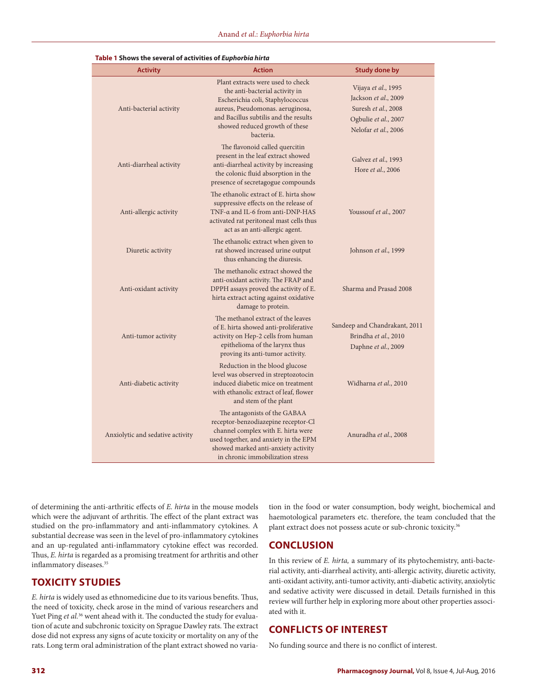| <b>Activity</b>                  | <b>Action</b>                                                                                                                                                                                                                       | <b>Study done by</b>                                                                                               |
|----------------------------------|-------------------------------------------------------------------------------------------------------------------------------------------------------------------------------------------------------------------------------------|--------------------------------------------------------------------------------------------------------------------|
| Anti-bacterial activity          | Plant extracts were used to check<br>the anti-bacterial activity in<br>Escherichia coli, Staphylococcus<br>aureus, Pseudomonas. aeruginosa,<br>and Bacillus subtilis and the results<br>showed reduced growth of these<br>bacteria. | Vijaya et al., 1995<br>Jackson et al., 2009<br>Suresh et al., 2008<br>Ogbulie et al., 2007<br>Nelofar et al., 2006 |
| Anti-diarrheal activity          | The flavonoid called quercitin<br>present in the leaf extract showed<br>anti-diarrheal activity by increasing<br>the colonic fluid absorption in the<br>presence of secretagogue compounds                                          | Galvez et al., 1993<br>Hore et al., 2006                                                                           |
| Anti-allergic activity           | The ethanolic extract of E. hirta show<br>suppressive effects on the release of<br>TNF-α and IL-6 from anti-DNP-HAS<br>activated rat peritoneal mast cells thus<br>act as an anti-allergic agent.                                   | Youssouf et al., 2007                                                                                              |
| Diuretic activity                | The ethanolic extract when given to<br>rat showed increased urine output<br>thus enhancing the diuresis.                                                                                                                            | Johnson et al., 1999                                                                                               |
| Anti-oxidant activity            | The methanolic extract showed the<br>anti-oxidant activity. The FRAP and<br>DPPH assays proved the activity of E.<br>hirta extract acting against oxidative<br>damage to protein.                                                   | Sharma and Prasad 2008                                                                                             |
| Anti-tumor activity              | The methanol extract of the leaves<br>of E. hirta showed anti-proliferative<br>activity on Hep-2 cells from human<br>epithelioma of the larynx thus<br>proving its anti-tumor activity.                                             | Sandeep and Chandrakant, 2011<br>Brindha et al., 2010<br>Daphne et al., 2009                                       |
| Anti-diabetic activity           | Reduction in the blood glucose<br>level was observed in streptozotocin<br>induced diabetic mice on treatment<br>with ethanolic extract of leaf, flower<br>and stem of the plant                                                     | Widharna et al., 2010                                                                                              |
| Anxiolytic and sedative activity | The antagonists of the GABAA<br>receptor-benzodiazepine receptor-Cl<br>channel complex with E. hirta were<br>used together, and anxiety in the EPM<br>showed marked anti-anxiety activity<br>in chronic immobilization stress       | Anuradha et al., 2008                                                                                              |

| Table 1 Shows the several of activities of Euphorbia hirta |  |  |
|------------------------------------------------------------|--|--|
|------------------------------------------------------------|--|--|

of determining the anti-arthritic effects of *E. hirta* in the mouse models which were the adjuvant of arthritis. The effect of the plant extract was studied on the pro-inflammatory and anti-inflammatory cytokines. A substantial decrease was seen in the level of pro-inflammatory cytokines and an up-regulated anti-inflammatory cytokine effect was recorded. Thus, *E. hirta* is regarded as a promising treatment for arthritis and other inflammatory diseases.<sup>35</sup>

# **TOXICITY STUDIES**

*E. hirta* is widely used as ethnomedicine due to its various benefits. Thus, the need of toxicity, check arose in the mind of various researchers and Yuet Ping *et al.*<sup>36</sup> went ahead with it. The conducted the study for evaluation of acute and subchronic toxicity on Sprague Dawley rats. The extract dose did not express any signs of acute toxicity or mortality on any of the rats. Long term oral administration of the plant extract showed no variation in the food or water consumption, body weight, biochemical and haemotological parameters etc. therefore, the team concluded that the plant extract does not possess acute or sub-chronic toxicity.<sup>36</sup>

#### **CONCLUSION**

In this review of *E. hirta,* a summary of its phytochemistry, anti-bacterial activity, anti-diarrheal activity, anti-allergic activity, diuretic activity, anti-oxidant activity, anti-tumor activity, anti-diabetic activity, anxiolytic and sedative activity were discussed in detail. Details furnished in this review will further help in exploring more about other properties associated with it.

#### **CONFLICTS OF INTEREST**

No funding source and there is no conflict of interest.